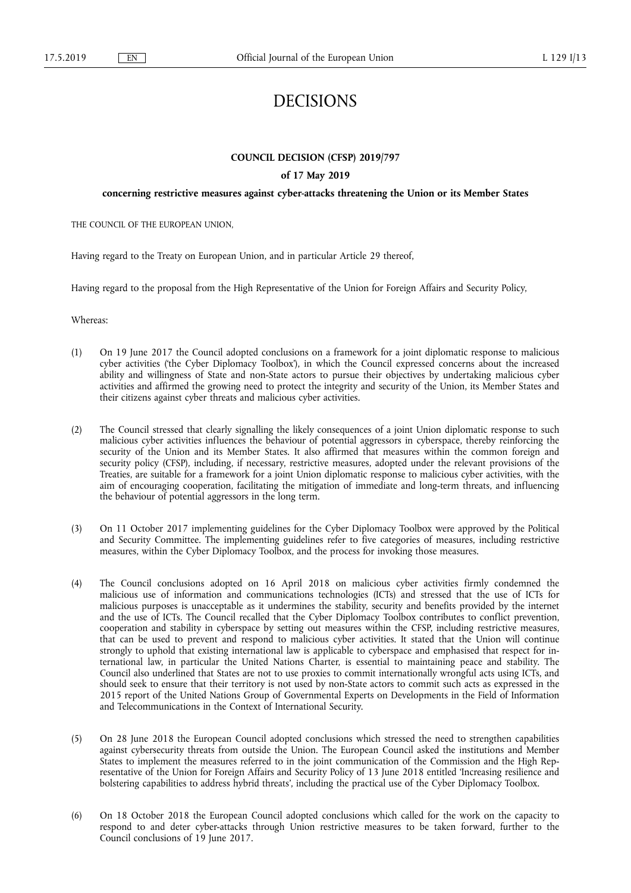# DECISIONS

# **COUNCIL DECISION (CFSP) 2019/797**

## **of 17 May 2019**

## **concerning restrictive measures against cyber-attacks threatening the Union or its Member States**

THE COUNCIL OF THE EUROPEAN UNION,

Having regard to the Treaty on European Union, and in particular Article 29 thereof,

Having regard to the proposal from the High Representative of the Union for Foreign Affairs and Security Policy,

Whereas:

- (1) On 19 June 2017 the Council adopted conclusions on a framework for a joint diplomatic response to malicious cyber activities ('the Cyber Diplomacy Toolbox'), in which the Council expressed concerns about the increased ability and willingness of State and non-State actors to pursue their objectives by undertaking malicious cyber activities and affirmed the growing need to protect the integrity and security of the Union, its Member States and their citizens against cyber threats and malicious cyber activities.
- (2) The Council stressed that clearly signalling the likely consequences of a joint Union diplomatic response to such malicious cyber activities influences the behaviour of potential aggressors in cyberspace, thereby reinforcing the security of the Union and its Member States. It also affirmed that measures within the common foreign and security policy (CFSP), including, if necessary, restrictive measures, adopted under the relevant provisions of the Treaties, are suitable for a framework for a joint Union diplomatic response to malicious cyber activities, with the aim of encouraging cooperation, facilitating the mitigation of immediate and long-term threats, and influencing the behaviour of potential aggressors in the long term.
- (3) On 11 October 2017 implementing guidelines for the Cyber Diplomacy Toolbox were approved by the Political and Security Committee. The implementing guidelines refer to five categories of measures, including restrictive measures, within the Cyber Diplomacy Toolbox, and the process for invoking those measures.
- (4) The Council conclusions adopted on 16 April 2018 on malicious cyber activities firmly condemned the malicious use of information and communications technologies (ICTs) and stressed that the use of ICTs for malicious purposes is unacceptable as it undermines the stability, security and benefits provided by the internet and the use of ICTs. The Council recalled that the Cyber Diplomacy Toolbox contributes to conflict prevention, cooperation and stability in cyberspace by setting out measures within the CFSP, including restrictive measures, that can be used to prevent and respond to malicious cyber activities. It stated that the Union will continue strongly to uphold that existing international law is applicable to cyberspace and emphasised that respect for international law, in particular the United Nations Charter, is essential to maintaining peace and stability. The Council also underlined that States are not to use proxies to commit internationally wrongful acts using ICTs, and should seek to ensure that their territory is not used by non-State actors to commit such acts as expressed in the 2015 report of the United Nations Group of Governmental Experts on Developments in the Field of Information and Telecommunications in the Context of International Security.
- (5) On 28 June 2018 the European Council adopted conclusions which stressed the need to strengthen capabilities against cybersecurity threats from outside the Union. The European Council asked the institutions and Member States to implement the measures referred to in the joint communication of the Commission and the High Representative of the Union for Foreign Affairs and Security Policy of 13 June 2018 entitled 'Increasing resilience and bolstering capabilities to address hybrid threats', including the practical use of the Cyber Diplomacy Toolbox.
- (6) On 18 October 2018 the European Council adopted conclusions which called for the work on the capacity to respond to and deter cyber-attacks through Union restrictive measures to be taken forward, further to the Council conclusions of 19 June 2017.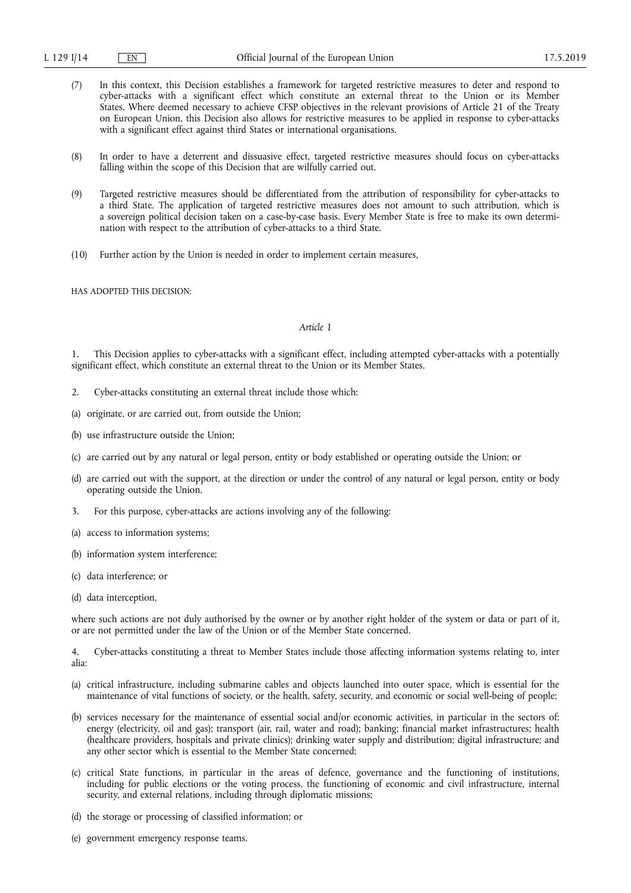- (7) In this context, this Decision establishes a framework for targeted restrictive measures to deter and respond to cyber-attacks with a significant effect which constitute an external threat to the Union or its Member States. Where deemed necessary to achieve CFSP objectives in the relevant provisions of Article 21 of the Treaty on European Union, this Decision also allows for restrictive measures to be applied in response to cyber-attacks with a significant effect against third States or international organisations.
- (8) In order to have a deterrent and dissuasive effect, targeted restrictive measures should focus on cyber-attacks falling within the scope of this Decision that are wilfully carried out.
- (9) Targeted restrictive measures should be differentiated from the attribution of responsibility for cyber-attacks to a third State. The application of targeted restrictive measures does not amount to such attribution, which is a sovereign political decision taken on a case-by-case basis. Every Member State is free to make its own determination with respect to the attribution of cyber-attacks to a third State.
- (10) Further action by the Union is needed in order to implement certain measures,

HAS ADOPTED THIS DECISION:

## *Article 1*

1. This Decision applies to cyber-attacks with a significant effect, including attempted cyber-attacks with a potentially significant effect, which constitute an external threat to the Union or its Member States.

- 2. Cyber-attacks constituting an external threat include those which:
- (a) originate, or are carried out, from outside the Union;
- (b) use infrastructure outside the Union;
- (c) are carried out by any natural or legal person, entity or body established or operating outside the Union; or
- (d) are carried out with the support, at the direction or under the control of any natural or legal person, entity or body operating outside the Union.
- 3. For this purpose, cyber-attacks are actions involving any of the following:
- (a) access to information systems;
- (b) information system interference;
- (c) data interference; or
- (d) data interception,

where such actions are not duly authorised by the owner or by another right holder of the system or data or part of it, or are not permitted under the law of the Union or of the Member State concerned.

4. Cyber-attacks constituting a threat to Member States include those affecting information systems relating to, inter alia:

- (a) critical infrastructure, including submarine cables and objects launched into outer space, which is essential for the maintenance of vital functions of society, or the health, safety, security, and economic or social well-being of people;
- (b) services necessary for the maintenance of essential social and/or economic activities, in particular in the sectors of: energy (electricity, oil and gas); transport (air, rail, water and road); banking; financial market infrastructures; health (healthcare providers, hospitals and private clinics); drinking water supply and distribution; digital infrastructure; and any other sector which is essential to the Member State concerned;
- (c) critical State functions, in particular in the areas of defence, governance and the functioning of institutions, including for public elections or the voting process, the functioning of economic and civil infrastructure, internal security, and external relations, including through diplomatic missions;
- (d) the storage or processing of classified information; or
- (e) government emergency response teams.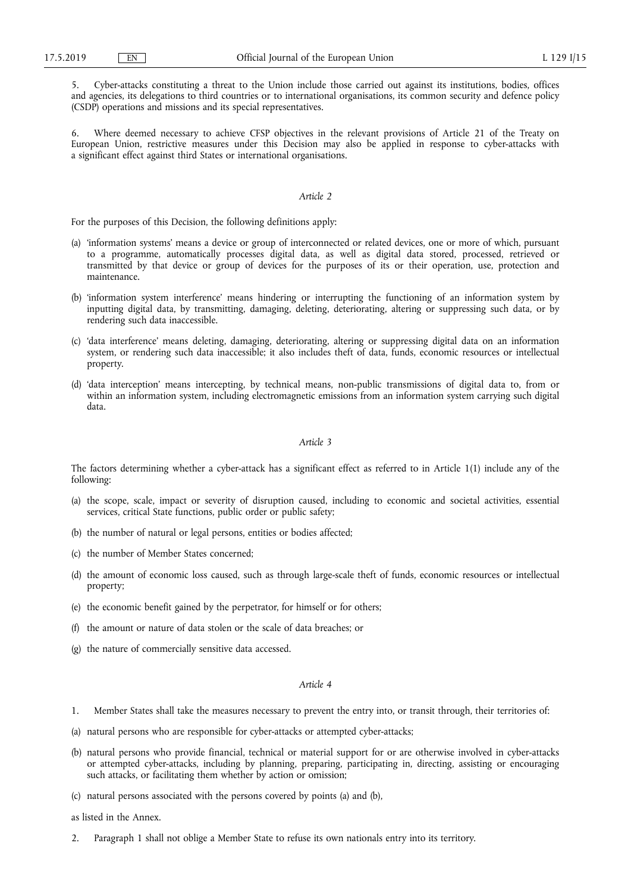5. Cyber-attacks constituting a threat to the Union include those carried out against its institutions, bodies, offices and agencies, its delegations to third countries or to international organisations, its common security and defence policy (CSDP) operations and missions and its special representatives.

Where deemed necessary to achieve CFSP objectives in the relevant provisions of Article 21 of the Treaty on European Union, restrictive measures under this Decision may also be applied in response to cyber-attacks with a significant effect against third States or international organisations.

## *Article 2*

For the purposes of this Decision, the following definitions apply:

- (a) 'information systems' means a device or group of interconnected or related devices, one or more of which, pursuant to a programme, automatically processes digital data, as well as digital data stored, processed, retrieved or transmitted by that device or group of devices for the purposes of its or their operation, use, protection and maintenance.
- (b) 'information system interference' means hindering or interrupting the functioning of an information system by inputting digital data, by transmitting, damaging, deleting, deteriorating, altering or suppressing such data, or by rendering such data inaccessible.
- (c) 'data interference' means deleting, damaging, deteriorating, altering or suppressing digital data on an information system, or rendering such data inaccessible; it also includes theft of data, funds, economic resources or intellectual property.
- (d) 'data interception' means intercepting, by technical means, non-public transmissions of digital data to, from or within an information system, including electromagnetic emissions from an information system carrying such digital data.

#### *Article 3*

The factors determining whether a cyber-attack has a significant effect as referred to in Article 1(1) include any of the following:

- (a) the scope, scale, impact or severity of disruption caused, including to economic and societal activities, essential services, critical State functions, public order or public safety;
- (b) the number of natural or legal persons, entities or bodies affected;
- (c) the number of Member States concerned;
- (d) the amount of economic loss caused, such as through large-scale theft of funds, economic resources or intellectual property;
- (e) the economic benefit gained by the perpetrator, for himself or for others;
- (f) the amount or nature of data stolen or the scale of data breaches; or
- (g) the nature of commercially sensitive data accessed.

### *Article 4*

- 1. Member States shall take the measures necessary to prevent the entry into, or transit through, their territories of:
- (a) natural persons who are responsible for cyber-attacks or attempted cyber-attacks;
- (b) natural persons who provide financial, technical or material support for or are otherwise involved in cyber-attacks or attempted cyber-attacks, including by planning, preparing, participating in, directing, assisting or encouraging such attacks, or facilitating them whether by action or omission;
- (c) natural persons associated with the persons covered by points (a) and (b),

as listed in the Annex.

2. Paragraph 1 shall not oblige a Member State to refuse its own nationals entry into its territory.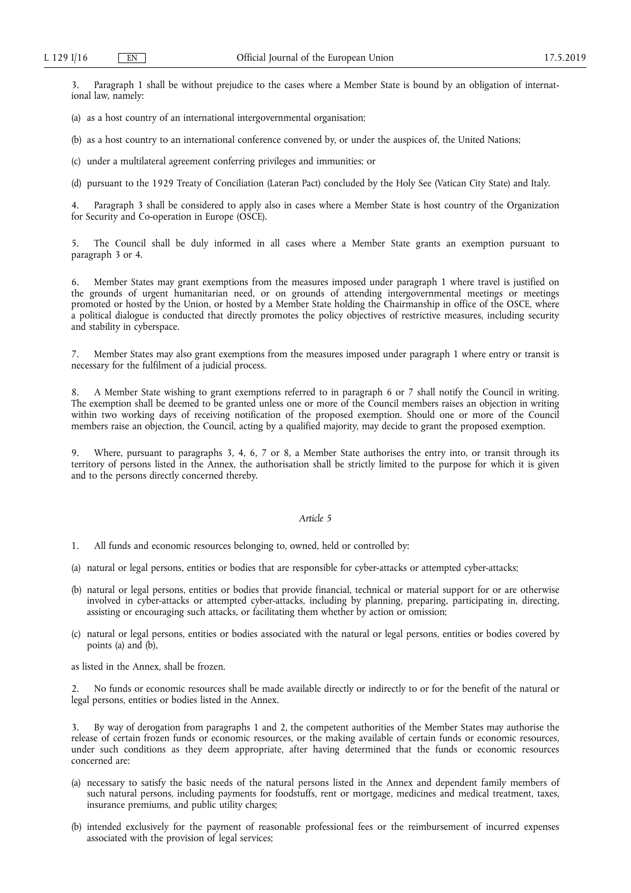3. Paragraph 1 shall be without prejudice to the cases where a Member State is bound by an obligation of international law, namely:

(a) as a host country of an international intergovernmental organisation;

(b) as a host country to an international conference convened by, or under the auspices of, the United Nations;

(c) under a multilateral agreement conferring privileges and immunities; or

(d) pursuant to the 1929 Treaty of Conciliation (Lateran Pact) concluded by the Holy See (Vatican City State) and Italy.

4. Paragraph 3 shall be considered to apply also in cases where a Member State is host country of the Organization for Security and Co-operation in Europe (OSCE).

5. The Council shall be duly informed in all cases where a Member State grants an exemption pursuant to paragraph 3 or 4.

Member States may grant exemptions from the measures imposed under paragraph 1 where travel is justified on the grounds of urgent humanitarian need, or on grounds of attending intergovernmental meetings or meetings promoted or hosted by the Union, or hosted by a Member State holding the Chairmanship in office of the OSCE, where a political dialogue is conducted that directly promotes the policy objectives of restrictive measures, including security and stability in cyberspace.

7. Member States may also grant exemptions from the measures imposed under paragraph 1 where entry or transit is necessary for the fulfilment of a judicial process.

8. A Member State wishing to grant exemptions referred to in paragraph 6 or 7 shall notify the Council in writing. The exemption shall be deemed to be granted unless one or more of the Council members raises an objection in writing within two working days of receiving notification of the proposed exemption. Should one or more of the Council members raise an objection, the Council, acting by a qualified majority, may decide to grant the proposed exemption.

9. Where, pursuant to paragraphs 3, 4, 6, 7 or 8, a Member State authorises the entry into, or transit through its territory of persons listed in the Annex, the authorisation shall be strictly limited to the purpose for which it is given and to the persons directly concerned thereby.

## *Article 5*

1. All funds and economic resources belonging to, owned, held or controlled by:

- (a) natural or legal persons, entities or bodies that are responsible for cyber-attacks or attempted cyber-attacks;
- (b) natural or legal persons, entities or bodies that provide financial, technical or material support for or are otherwise involved in cyber-attacks or attempted cyber-attacks, including by planning, preparing, participating in, directing, assisting or encouraging such attacks, or facilitating them whether by action or omission;
- (c) natural or legal persons, entities or bodies associated with the natural or legal persons, entities or bodies covered by points (a) and (b),

as listed in the Annex, shall be frozen.

2. No funds or economic resources shall be made available directly or indirectly to or for the benefit of the natural or legal persons, entities or bodies listed in the Annex.

3. By way of derogation from paragraphs 1 and 2, the competent authorities of the Member States may authorise the release of certain frozen funds or economic resources, or the making available of certain funds or economic resources, under such conditions as they deem appropriate, after having determined that the funds or economic resources concerned are:

- (a) necessary to satisfy the basic needs of the natural persons listed in the Annex and dependent family members of such natural persons, including payments for foodstuffs, rent or mortgage, medicines and medical treatment, taxes, insurance premiums, and public utility charges;
- (b) intended exclusively for the payment of reasonable professional fees or the reimbursement of incurred expenses associated with the provision of legal services;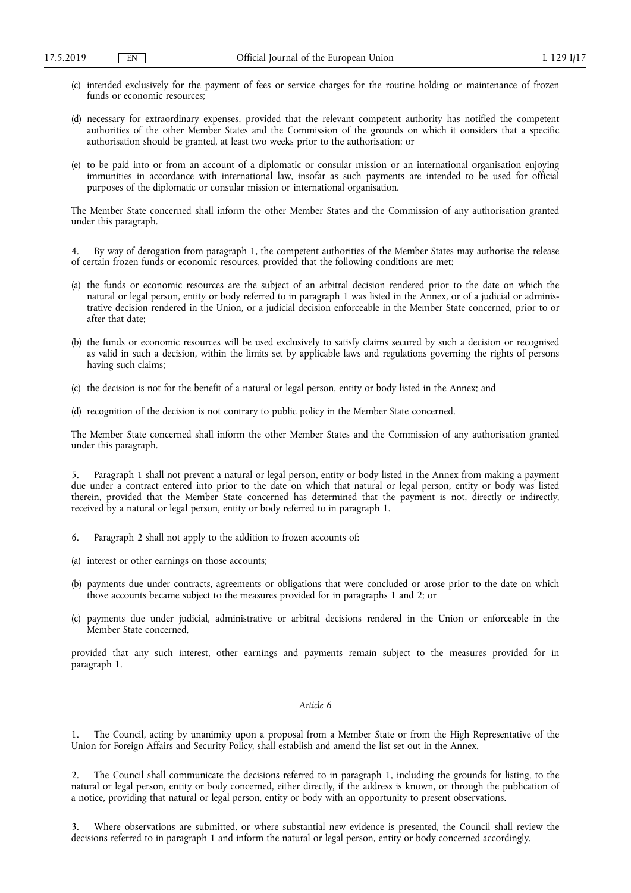- (c) intended exclusively for the payment of fees or service charges for the routine holding or maintenance of frozen funds or economic resources;
- (d) necessary for extraordinary expenses, provided that the relevant competent authority has notified the competent authorities of the other Member States and the Commission of the grounds on which it considers that a specific authorisation should be granted, at least two weeks prior to the authorisation; or
- (e) to be paid into or from an account of a diplomatic or consular mission or an international organisation enjoying immunities in accordance with international law, insofar as such payments are intended to be used for official purposes of the diplomatic or consular mission or international organisation.

The Member State concerned shall inform the other Member States and the Commission of any authorisation granted under this paragraph.

4. By way of derogation from paragraph 1, the competent authorities of the Member States may authorise the release of certain frozen funds or economic resources, provided that the following conditions are met:

- (a) the funds or economic resources are the subject of an arbitral decision rendered prior to the date on which the natural or legal person, entity or body referred to in paragraph 1 was listed in the Annex, or of a judicial or administrative decision rendered in the Union, or a judicial decision enforceable in the Member State concerned, prior to or after that date;
- (b) the funds or economic resources will be used exclusively to satisfy claims secured by such a decision or recognised as valid in such a decision, within the limits set by applicable laws and regulations governing the rights of persons having such claims;
- (c) the decision is not for the benefit of a natural or legal person, entity or body listed in the Annex; and
- (d) recognition of the decision is not contrary to public policy in the Member State concerned.

The Member State concerned shall inform the other Member States and the Commission of any authorisation granted under this paragraph.

5. Paragraph 1 shall not prevent a natural or legal person, entity or body listed in the Annex from making a payment due under a contract entered into prior to the date on which that natural or legal person, entity or body was listed therein, provided that the Member State concerned has determined that the payment is not, directly or indirectly, received by a natural or legal person, entity or body referred to in paragraph 1.

- 6. Paragraph 2 shall not apply to the addition to frozen accounts of:
- (a) interest or other earnings on those accounts;
- (b) payments due under contracts, agreements or obligations that were concluded or arose prior to the date on which those accounts became subject to the measures provided for in paragraphs 1 and 2; or
- (c) payments due under judicial, administrative or arbitral decisions rendered in the Union or enforceable in the Member State concerned,

provided that any such interest, other earnings and payments remain subject to the measures provided for in paragraph 1.

## *Article 6*

1. The Council, acting by unanimity upon a proposal from a Member State or from the High Representative of the Union for Foreign Affairs and Security Policy, shall establish and amend the list set out in the Annex.

2. The Council shall communicate the decisions referred to in paragraph 1, including the grounds for listing, to the natural or legal person, entity or body concerned, either directly, if the address is known, or through the publication of a notice, providing that natural or legal person, entity or body with an opportunity to present observations.

3. Where observations are submitted, or where substantial new evidence is presented, the Council shall review the decisions referred to in paragraph 1 and inform the natural or legal person, entity or body concerned accordingly.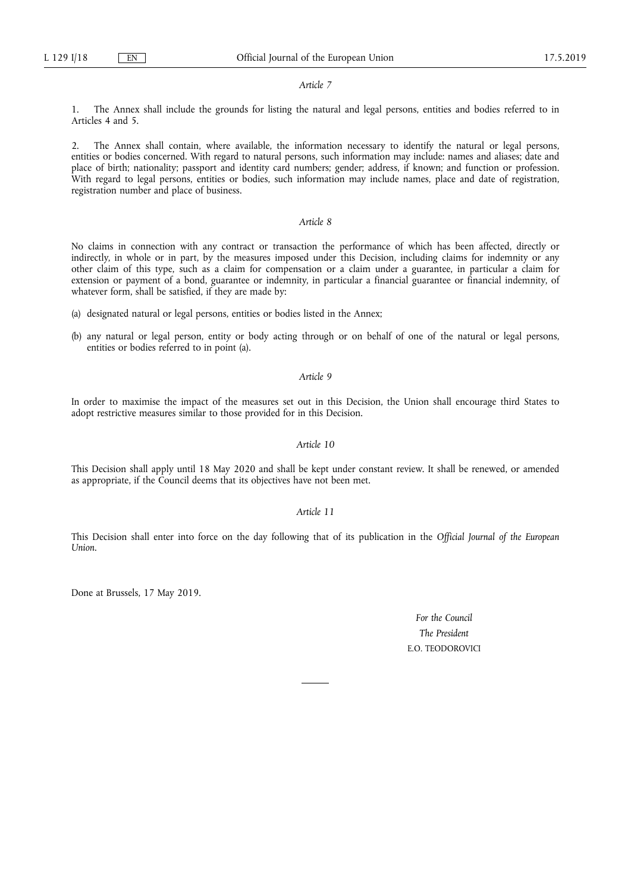#### *Article 7*

1. The Annex shall include the grounds for listing the natural and legal persons, entities and bodies referred to in Articles 4 and 5.

2. The Annex shall contain, where available, the information necessary to identify the natural or legal persons, entities or bodies concerned. With regard to natural persons, such information may include: names and aliases; date and place of birth; nationality; passport and identity card numbers; gender; address, if known; and function or profession. With regard to legal persons, entities or bodies, such information may include names, place and date of registration, registration number and place of business.

# *Article 8*

No claims in connection with any contract or transaction the performance of which has been affected, directly or indirectly, in whole or in part, by the measures imposed under this Decision, including claims for indemnity or any other claim of this type, such as a claim for compensation or a claim under a guarantee, in particular a claim for extension or payment of a bond, guarantee or indemnity, in particular a financial guarantee or financial indemnity, of whatever form, shall be satisfied, if they are made by:

(a) designated natural or legal persons, entities or bodies listed in the Annex;

(b) any natural or legal person, entity or body acting through or on behalf of one of the natural or legal persons, entities or bodies referred to in point (a).

## *Article 9*

In order to maximise the impact of the measures set out in this Decision, the Union shall encourage third States to adopt restrictive measures similar to those provided for in this Decision.

## *Article 10*

This Decision shall apply until 18 May 2020 and shall be kept under constant review. It shall be renewed, or amended as appropriate, if the Council deems that its objectives have not been met.

## *Article 11*

This Decision shall enter into force on the day following that of its publication in the *Official Journal of the European Union*.

Done at Brussels, 17 May 2019.

*For the Council The President*  E.O. TEODOROVICI